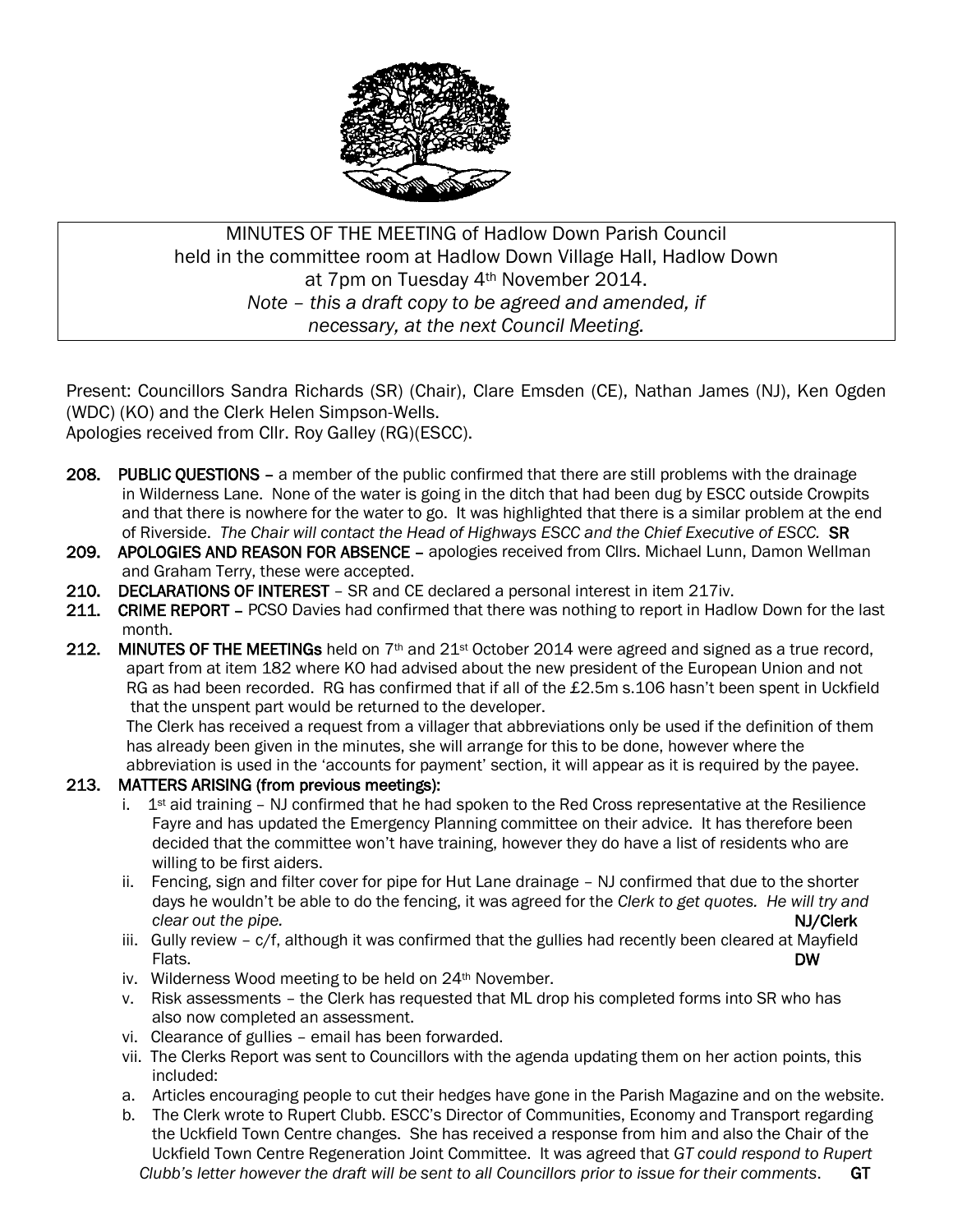

MINUTES OF THE MEETING of Hadlow Down Parish Council held in the committee room at Hadlow Down Village Hall, Hadlow Down at 7pm on Tuesday 4th November 2014. *Note – this a draft copy to be agreed and amended, if necessary, at the next Council Meeting.*

Present: Councillors Sandra Richards (SR) (Chair), Clare Emsden (CE), Nathan James (NJ), Ken Ogden (WDC) (KO) and the Clerk Helen Simpson-Wells.

Apologies received from Cllr. Roy Galley (RG)(ESCC).

- 208. PUBLIC OUESTIONS a member of the public confirmed that there are still problems with the drainage in Wilderness Lane. None of the water is going in the ditch that had been dug by ESCC outside Crowpits and that there is nowhere for the water to go. It was highlighted that there is a similar problem at the end of Riverside. *The Chair will contact the Head of Highways ESCC and the Chief Executive of ESCC.* SR
- 209. APOLOGIES AND REASON FOR ABSENCE apologies received from Cllrs. Michael Lunn, Damon Wellman and Graham Terry, these were accepted.
- 210. DECLARATIONS OF INTEREST SR and CE declared a personal interest in item 217iv.
- 211. CRIME REPORT PCSO Davies had confirmed that there was nothing to report in Hadlow Down for the last month.
- 212. MINUTES OF THE MEETINGs held on  $7<sup>th</sup>$  and  $21<sup>st</sup>$  October 2014 were agreed and signed as a true record, apart from at item 182 where KO had advised about the new president of the European Union and not RG as had been recorded. RG has confirmed that if all of the £2.5m s.106 hasn't been spent in Uckfield that the unspent part would be returned to the developer.

 The Clerk has received a request from a villager that abbreviations only be used if the definition of them has already been given in the minutes, she will arrange for this to be done, however where the abbreviation is used in the 'accounts for payment' section, it will appear as it is required by the payee.

### 213. MATTERS ARISING (from previous meetings):

- i.  $1<sup>st</sup>$  aid training NJ confirmed that he had spoken to the Red Cross representative at the Resilience Fayre and has updated the Emergency Planning committee on their advice. It has therefore been decided that the committee won't have training, however they do have a list of residents who are willing to be first aiders.
- ii. Fencing, sign and filter cover for pipe for Hut Lane drainage NJ confirmed that due to the shorter days he wouldn't be able to do the fencing, it was agreed for the *Clerk to get quotes. He will try and clear out the pipe.* NJ/Clerk
- iii. Gully review c/f, although it was confirmed that the gullies had recently been cleared at Mayfield<br>DW Flats. DW **DW** 
	- iv. Wilderness Wood meeting to be held on 24<sup>th</sup> November.
	- v. Risk assessments the Clerk has requested that ML drop his completed forms into SR who has also now completed an assessment.
	- vi. Clearance of gullies email has been forwarded.
	- vii. The Clerks Report was sent to Councillors with the agenda updating them on her action points, this included:
	- a. Articles encouraging people to cut their hedges have gone in the Parish Magazine and on the website.
	- b. The Clerk wrote to Rupert Clubb. ESCC's Director of Communities, Economy and Transport regarding the Uckfield Town Centre changes. She has received a response from him and also the Chair of the Uckfield Town Centre Regeneration Joint Committee. It was agreed that *GT could respond to Rupert Clubb's letter however the draft will be sent to all Councillors prior to issue for their comments*. GT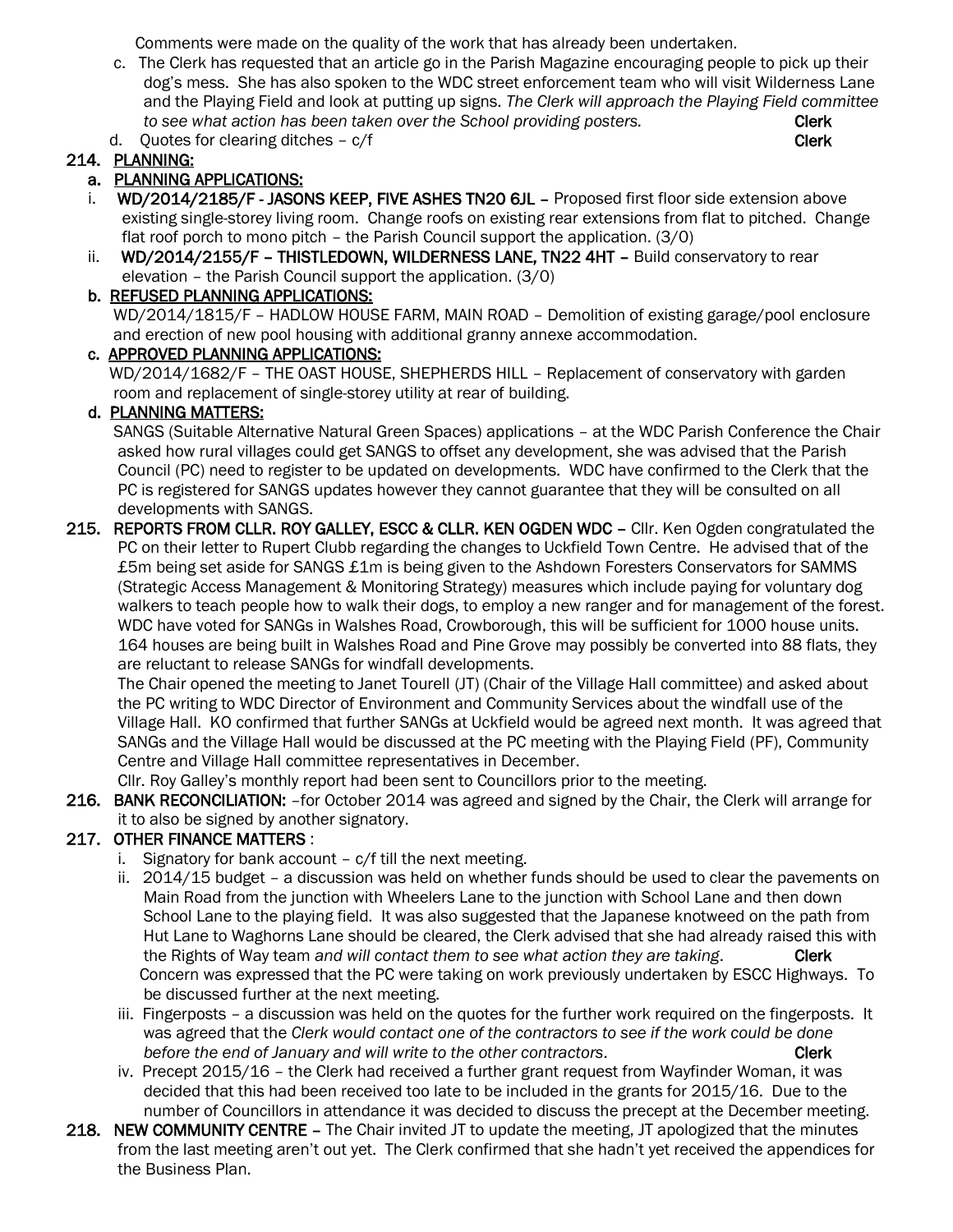Comments were made on the quality of the work that has already been undertaken.

- c. The Clerk has requested that an article go in the Parish Magazine encouraging people to pick up their dog's mess. She has also spoken to the WDC street enforcement team who will visit Wilderness Lane and the Playing Field and look at putting up signs. *The Clerk will approach the Playing Field committee to see what action has been taken over the School providing posters.* Clerk
- d. Ouotes for clearing ditches  $c/f$

## 214. PLANNING:

## a. PLANNING APPLICATIONS:

- i. WD/2014/2185/F JASONS KEEP, FIVE ASHES TN20 6JL Proposed first floor side extension above existing single-storey living room. Change roofs on existing rear extensions from flat to pitched. Change flat roof porch to mono pitch – the Parish Council support the application. (3/0)
- ii. WD/2014/2155/F THISTLEDOWN, WILDERNESS LANE, TN22 4HT Build conservatory to rear elevation – the Parish Council support the application. (3/0)

#### b. REFUSED PLANNING APPLICATIONS:

 WD/2014/1815/F – HADLOW HOUSE FARM, MAIN ROAD – Demolition of existing garage/pool enclosure and erection of new pool housing with additional granny annexe accommodation.

#### c. APPROVED PLANNING APPLICATIONS:

 WD/2014/1682/F – THE OAST HOUSE, SHEPHERDS HILL – Replacement of conservatory with garden room and replacement of single-storey utility at rear of building.

### d. PLANNING MATTERS:

 SANGS (Suitable Alternative Natural Green Spaces) applications – at the WDC Parish Conference the Chair asked how rural villages could get SANGS to offset any development, she was advised that the Parish Council (PC) need to register to be updated on developments. WDC have confirmed to the Clerk that the PC is registered for SANGS updates however they cannot guarantee that they will be consulted on all developments with SANGS.

215. REPORTS FROM CLLR. ROY GALLEY, ESCC & CLLR. KEN OGDEN WDC - Cllr. Ken Ogden congratulated the PC on their letter to Rupert Clubb regarding the changes to Uckfield Town Centre. He advised that of the £5m being set aside for SANGS £1m is being given to the Ashdown Foresters Conservators for SAMMS (Strategic Access Management & Monitoring Strategy) measures which include paying for voluntary dog walkers to teach people how to walk their dogs, to employ a new ranger and for management of the forest. WDC have voted for SANGs in Walshes Road, Crowborough, this will be sufficient for 1000 house units. 164 houses are being built in Walshes Road and Pine Grove may possibly be converted into 88 flats, they are reluctant to release SANGs for windfall developments.

 The Chair opened the meeting to Janet Tourell (JT) (Chair of the Village Hall committee) and asked about the PC writing to WDC Director of Environment and Community Services about the windfall use of the Village Hall. KO confirmed that further SANGs at Uckfield would be agreed next month. It was agreed that SANGs and the Village Hall would be discussed at the PC meeting with the Playing Field (PF), Community Centre and Village Hall committee representatives in December.

Cllr. Roy Galley's monthly report had been sent to Councillors prior to the meeting.

216. BANK RECONCILIATION: -for October 2014 was agreed and signed by the Chair, the Clerk will arrange for it to also be signed by another signatory.

### 217. OTHER FINANCE MATTERS :

- i. Signatory for bank account c/f till the next meeting.
- ii. 2014/15 budget a discussion was held on whether funds should be used to clear the pavements on Main Road from the junction with Wheelers Lane to the junction with School Lane and then down School Lane to the playing field. It was also suggested that the Japanese knotweed on the path from Hut Lane to Waghorns Lane should be cleared, the Clerk advised that she had already raised this with the Rights of Way team *and will contact them to see what action they are taking*. Clerk Concern was expressed that the PC were taking on work previously undertaken by ESCC Highways. To be discussed further at the next meeting.
- iii. Fingerposts a discussion was held on the quotes for the further work required on the fingerposts. It was agreed that the *Clerk would contact one of the contractors to see if the work could be done before the end of January and will write to the other contractors*. Clerk
- iv. Precept 2015/16 the Clerk had received a further grant request from Wayfinder Woman, it was decided that this had been received too late to be included in the grants for 2015/16. Due to the number of Councillors in attendance it was decided to discuss the precept at the December meeting.
- 218. NEW COMMUNITY CENTRE The Chair invited JT to update the meeting, JT apologized that the minutes from the last meeting aren't out yet. The Clerk confirmed that she hadn't yet received the appendices for the Business Plan.